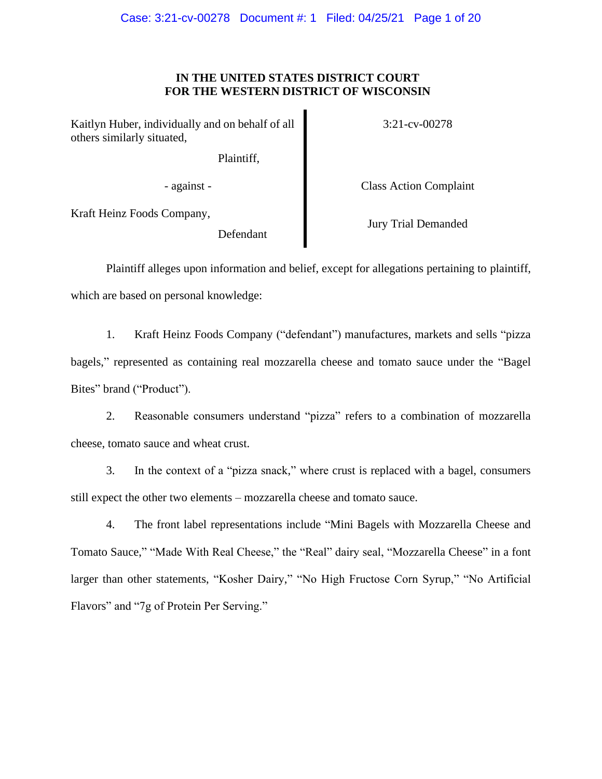# **IN THE UNITED STATES DISTRICT COURT FOR THE WESTERN DISTRICT OF WISCONSIN**

Kaitlyn Huber, individually and on behalf of all others similarly situated,

Plaintiff,

3:21-cv-00278

- against - Class Action Complaint

Kraft Heinz Foods Company,

Defendant

Jury Trial Demanded

Plaintiff alleges upon information and belief, except for allegations pertaining to plaintiff, which are based on personal knowledge:

1. Kraft Heinz Foods Company ("defendant") manufactures, markets and sells "pizza bagels," represented as containing real mozzarella cheese and tomato sauce under the "Bagel Bites" brand ("Product").

2. Reasonable consumers understand "pizza" refers to a combination of mozzarella cheese, tomato sauce and wheat crust.

3. In the context of a "pizza snack," where crust is replaced with a bagel, consumers still expect the other two elements – mozzarella cheese and tomato sauce.

4. The front label representations include "Mini Bagels with Mozzarella Cheese and Tomato Sauce," "Made With Real Cheese," the "Real" dairy seal, "Mozzarella Cheese" in a font larger than other statements, "Kosher Dairy," "No High Fructose Corn Syrup," "No Artificial Flavors" and "7g of Protein Per Serving."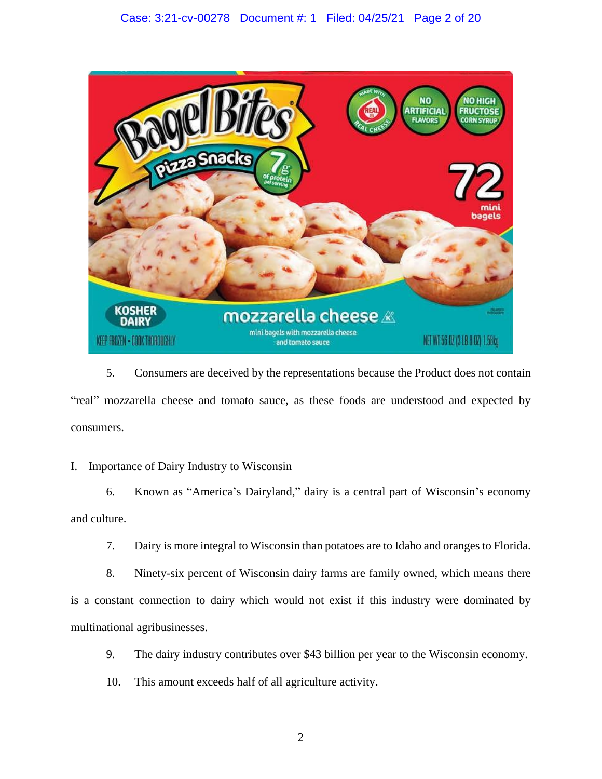# Case: 3:21-cv-00278 Document #: 1 Filed: 04/25/21 Page 2 of 20



5. Consumers are deceived by the representations because the Product does not contain "real" mozzarella cheese and tomato sauce, as these foods are understood and expected by consumers.

# I. Importance of Dairy Industry to Wisconsin

6. Known as "America's Dairyland," dairy is a central part of Wisconsin's economy and culture.

7. Dairy is more integral to Wisconsin than potatoes are to Idaho and oranges to Florida.

8. Ninety-six percent of Wisconsin dairy farms are family owned, which means there is a constant connection to dairy which would not exist if this industry were dominated by multinational agribusinesses.

- 9. The dairy industry contributes over \$43 billion per year to the Wisconsin economy.
- 10. This amount exceeds half of all agriculture activity.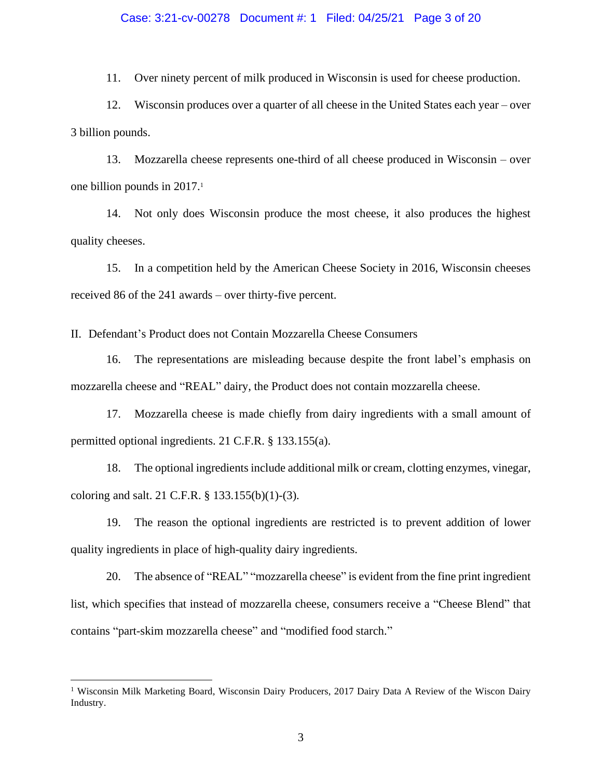11. Over ninety percent of milk produced in Wisconsin is used for cheese production.

12. Wisconsin produces over a quarter of all cheese in the United States each year – over 3 billion pounds.

13. Mozzarella cheese represents one-third of all cheese produced in Wisconsin – over one billion pounds in 2017. 1

14. Not only does Wisconsin produce the most cheese, it also produces the highest quality cheeses.

15. In a competition held by the American Cheese Society in 2016, Wisconsin cheeses received 86 of the 241 awards – over thirty-five percent.

II. Defendant's Product does not Contain Mozzarella Cheese Consumers

16. The representations are misleading because despite the front label's emphasis on mozzarella cheese and "REAL" dairy, the Product does not contain mozzarella cheese.

17. Mozzarella cheese is made chiefly from dairy ingredients with a small amount of permitted optional ingredients. 21 C.F.R. § 133.155(a).

18. The optional ingredients include additional milk or cream, clotting enzymes, vinegar, coloring and salt. 21 C.F.R. § 133.155(b)(1)-(3).

19. The reason the optional ingredients are restricted is to prevent addition of lower quality ingredients in place of high-quality dairy ingredients.

20. The absence of "REAL" "mozzarella cheese" is evident from the fine print ingredient list, which specifies that instead of mozzarella cheese, consumers receive a "Cheese Blend" that contains "part-skim mozzarella cheese" and "modified food starch."

<sup>&</sup>lt;sup>1</sup> Wisconsin Milk Marketing Board, Wisconsin Dairy Producers, 2017 Dairy Data A Review of the Wiscon Dairy Industry.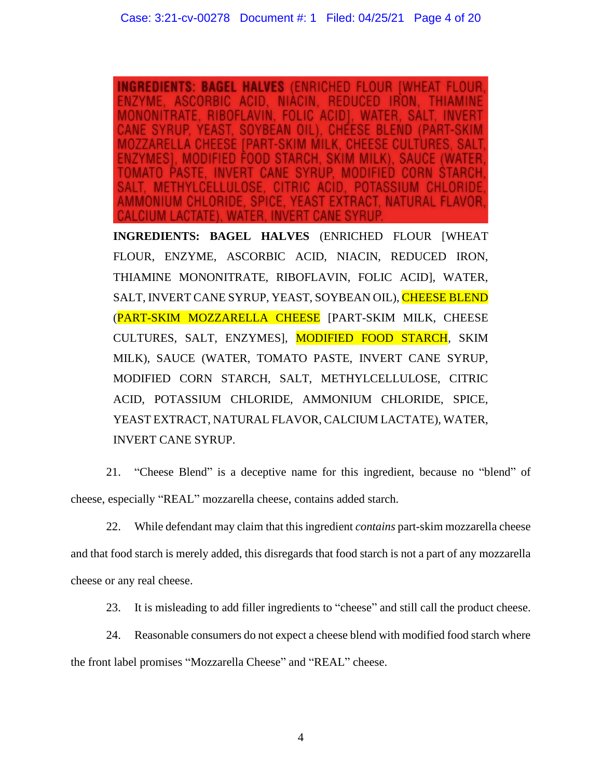**BAGEL HALVES (ENRICHED)** RACT NATURAL FLAVOR

**INGREDIENTS: BAGEL HALVES** (ENRICHED FLOUR [WHEAT FLOUR, ENZYME, ASCORBIC ACID, NIACIN, REDUCED IRON, THIAMINE MONONITRATE, RIBOFLAVIN, FOLIC ACID], WATER, SALT, INVERT CANE SYRUP, YEAST, SOYBEAN OIL), CHEESE BLEND (PART-SKIM MOZZARELLA CHEESE [PART-SKIM MILK, CHEESE CULTURES, SALT, ENZYMES], MODIFIED FOOD STARCH, SKIM MILK), SAUCE (WATER, TOMATO PASTE, INVERT CANE SYRUP, MODIFIED CORN STARCH, SALT, METHYLCELLULOSE, CITRIC ACID, POTASSIUM CHLORIDE, AMMONIUM CHLORIDE, SPICE, YEAST EXTRACT, NATURAL FLAVOR, CALCIUM LACTATE), WATER, INVERT CANE SYRUP.

21. "Cheese Blend" is a deceptive name for this ingredient, because no "blend" of cheese, especially "REAL" mozzarella cheese, contains added starch.

22. While defendant may claim that this ingredient *contains* part-skim mozzarella cheese and that food starch is merely added, this disregards that food starch is not a part of any mozzarella cheese or any real cheese.

23. It is misleading to add filler ingredients to "cheese" and still call the product cheese.

24. Reasonable consumers do not expect a cheese blend with modified food starch where the front label promises "Mozzarella Cheese" and "REAL" cheese.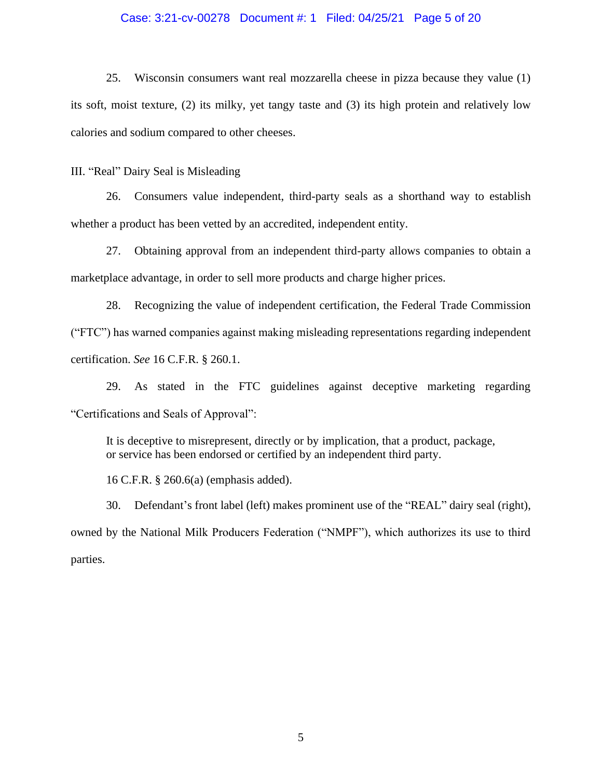## Case: 3:21-cv-00278 Document #: 1 Filed: 04/25/21 Page 5 of 20

25. Wisconsin consumers want real mozzarella cheese in pizza because they value (1) its soft, moist texture, (2) its milky, yet tangy taste and (3) its high protein and relatively low calories and sodium compared to other cheeses.

III. "Real" Dairy Seal is Misleading

26. Consumers value independent, third-party seals as a shorthand way to establish whether a product has been vetted by an accredited, independent entity.

27. Obtaining approval from an independent third-party allows companies to obtain a marketplace advantage, in order to sell more products and charge higher prices.

28. Recognizing the value of independent certification, the Federal Trade Commission ("FTC") has warned companies against making misleading representations regarding independent certification. *See* 16 C.F.R. § 260.1.

29. As stated in the FTC guidelines against deceptive marketing regarding "Certifications and Seals of Approval":

It is deceptive to misrepresent, directly or by implication, that a product, package, or service has been endorsed or certified by an independent third party.

16 C.F.R. § 260.6(a) (emphasis added).

30. Defendant's front label (left) makes prominent use of the "REAL" dairy seal (right), owned by the National Milk Producers Federation ("NMPF"), which authorizes its use to third parties.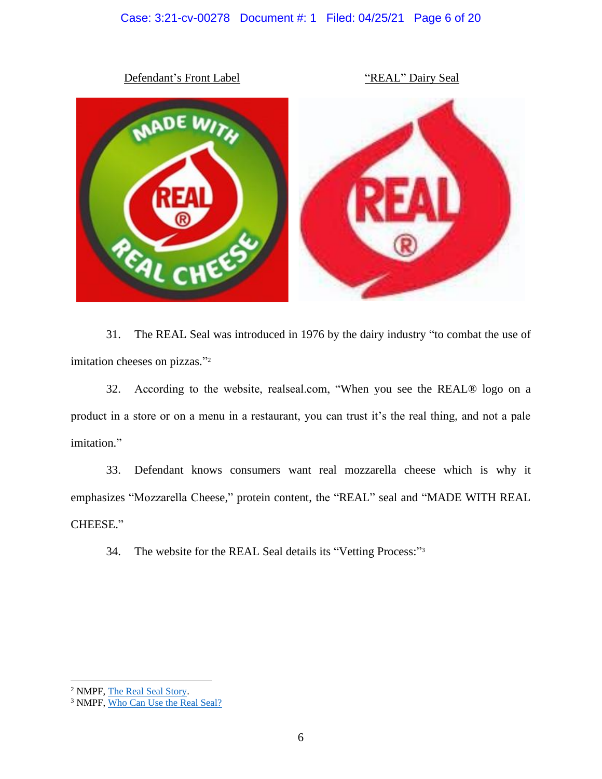# Case: 3:21-cv-00278 Document #: 1 Filed: 04/25/21 Page 6 of 20



31. The REAL Seal was introduced in 1976 by the dairy industry "to combat the use of imitation cheeses on pizzas." 2

32. According to the website, realseal.com, "When you see the REAL® logo on a product in a store or on a menu in a restaurant, you can trust it's the real thing, and not a pale imitation."

33. Defendant knows consumers want real mozzarella cheese which is why it emphasizes "Mozzarella Cheese," protein content, the "REAL" seal and "MADE WITH REAL CHEESE."

34. The website for the REAL Seal details its "Vetting Process:"<sup>3</sup>

<sup>&</sup>lt;sup>2</sup> NMPF, The Real Seal Story.

<sup>&</sup>lt;sup>3</sup> NMPF, Who Can Use the Real Seal?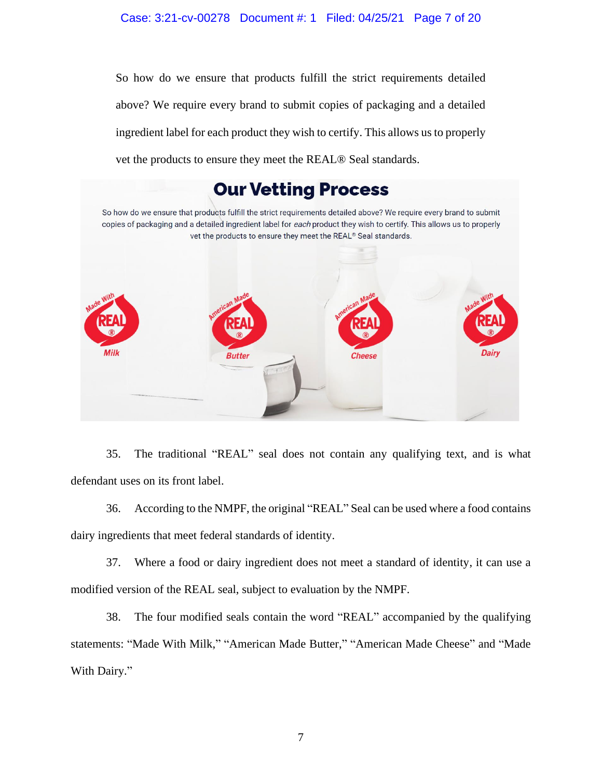## Case: 3:21-cv-00278 Document #: 1 Filed: 04/25/21 Page 7 of 20

So how do we ensure that products fulfill the strict requirements detailed above? We require every brand to submit copies of packaging and a detailed ingredient label for each product they wish to certify. This allows us to properly vet the products to ensure they meet the REAL® Seal standards.



35. The traditional "REAL" seal does not contain any qualifying text, and is what defendant uses on its front label.

36. According to the NMPF, the original "REAL" Seal can be used where a food contains dairy ingredients that meet federal standards of identity.

37. Where a food or dairy ingredient does not meet a standard of identity, it can use a modified version of the REAL seal, subject to evaluation by the NMPF.

38. The four modified seals contain the word "REAL" accompanied by the qualifying statements: "Made With Milk," "American Made Butter," "American Made Cheese" and "Made With Dairy."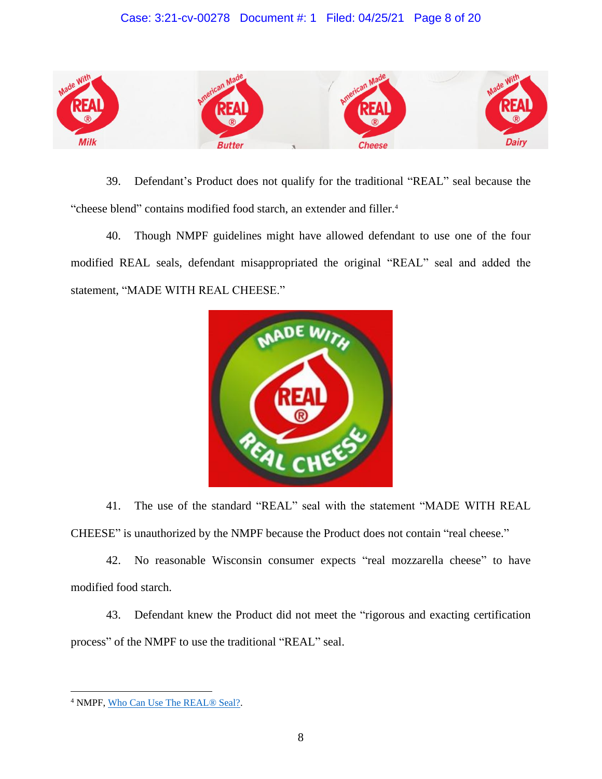# Case: 3:21-cv-00278 Document #: 1 Filed: 04/25/21 Page 8 of 20



39. Defendant's Product does not qualify for the traditional "REAL" seal because the "cheese blend" contains modified food starch, an extender and filler. 4

40. Though NMPF guidelines might have allowed defendant to use one of the four modified REAL seals, defendant misappropriated the original "REAL" seal and added the statement, "MADE WITH REAL CHEESE."



41. The use of the standard "REAL" seal with the statement "MADE WITH REAL CHEESE" is unauthorized by the NMPF because the Product does not contain "real cheese."

42. No reasonable Wisconsin consumer expects "real mozzarella cheese" to have modified food starch.

43. Defendant knew the Product did not meet the "rigorous and exacting certification process" of the NMPF to use the traditional "REAL" seal.

<sup>4</sup> NMPF, Who Can Use The REAL® Seal?.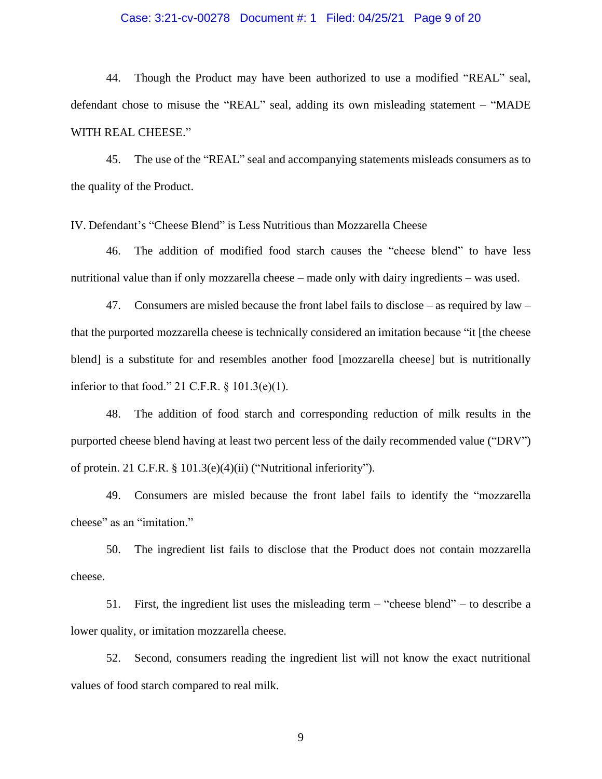## Case: 3:21-cv-00278 Document #: 1 Filed: 04/25/21 Page 9 of 20

44. Though the Product may have been authorized to use a modified "REAL" seal, defendant chose to misuse the "REAL" seal, adding its own misleading statement – "MADE WITH REAL CHEESE."

45. The use of the "REAL" seal and accompanying statements misleads consumers as to the quality of the Product.

IV. Defendant's "Cheese Blend" is Less Nutritious than Mozzarella Cheese

46. The addition of modified food starch causes the "cheese blend" to have less nutritional value than if only mozzarella cheese – made only with dairy ingredients – was used.

47. Consumers are misled because the front label fails to disclose – as required by law – that the purported mozzarella cheese is technically considered an imitation because "it [the cheese blend] is a substitute for and resembles another food [mozzarella cheese] but is nutritionally inferior to that food." 21 C.F.R. § 101.3(e)(1).

48. The addition of food starch and corresponding reduction of milk results in the purported cheese blend having at least two percent less of the daily recommended value ("DRV") of protein. 21 C.F.R. § 101.3(e)(4)(ii) ("Nutritional inferiority").

49. Consumers are misled because the front label fails to identify the "mozzarella cheese" as an "imitation."

50. The ingredient list fails to disclose that the Product does not contain mozzarella cheese.

51. First, the ingredient list uses the misleading term – "cheese blend" – to describe a lower quality, or imitation mozzarella cheese.

52. Second, consumers reading the ingredient list will not know the exact nutritional values of food starch compared to real milk.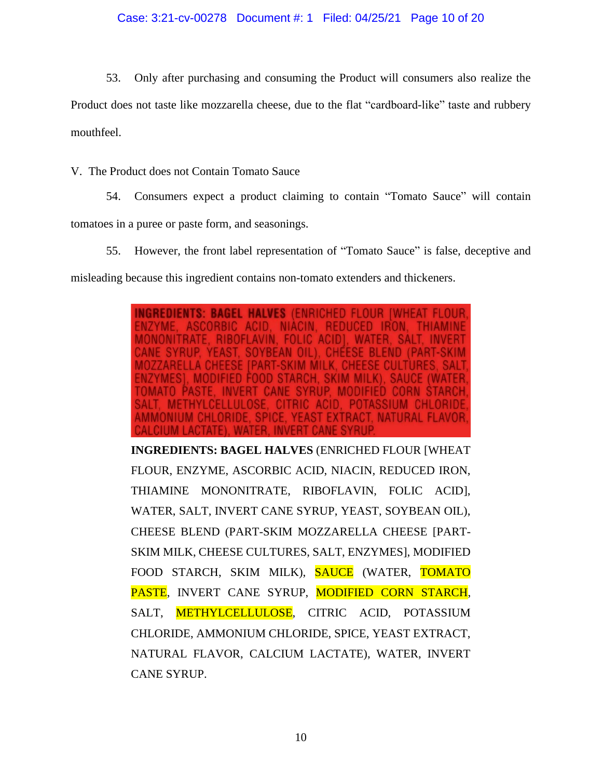53. Only after purchasing and consuming the Product will consumers also realize the

Product does not taste like mozzarella cheese, due to the flat "cardboard-like" taste and rubbery mouthfeel.

V. The Product does not Contain Tomato Sauce

54. Consumers expect a product claiming to contain "Tomato Sauce" will contain tomatoes in a puree or paste form, and seasonings.

55. However, the front label representation of "Tomato Sauce" is false, deceptive and

misleading because this ingredient contains non-tomato extenders and thickeners.

INGREDIENTS: BAGEL HALVES (ENRICHED FLOUR IWHEAT AVIN. **SALT** ACID **MODIFIED CORN POTASSIUM CHL** IONIUM CHLORIDE, SPICE, YEAST EXTRACT, NATURAL FLAVOR

**INGREDIENTS: BAGEL HALVES** (ENRICHED FLOUR [WHEAT FLOUR, ENZYME, ASCORBIC ACID, NIACIN, REDUCED IRON, THIAMINE MONONITRATE, RIBOFLAVIN, FOLIC ACID], WATER, SALT, INVERT CANE SYRUP, YEAST, SOYBEAN OIL), CHEESE BLEND (PART-SKIM MOZZARELLA CHEESE [PART-SKIM MILK, CHEESE CULTURES, SALT, ENZYMES], MODIFIED FOOD STARCH, SKIM MILK), SAUCE (WATER, TOMATO PASTE, INVERT CANE SYRUP, MODIFIED CORN STARCH, SALT, **METHYLCELLULOSE**, CITRIC ACID, POTASSIUM CHLORIDE, AMMONIUM CHLORIDE, SPICE, YEAST EXTRACT, NATURAL FLAVOR, CALCIUM LACTATE), WATER, INVERT CANE SYRUP.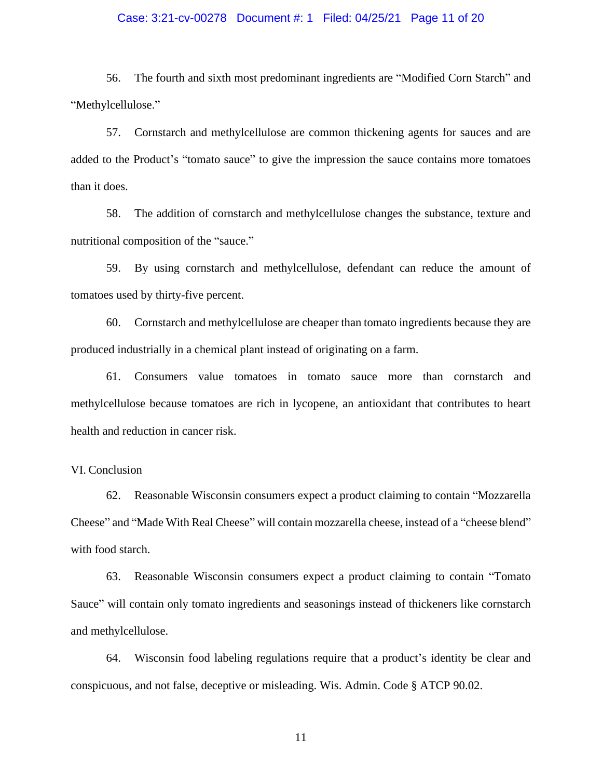## Case: 3:21-cv-00278 Document #: 1 Filed: 04/25/21 Page 11 of 20

56. The fourth and sixth most predominant ingredients are "Modified Corn Starch" and "Methylcellulose."

57. Cornstarch and methylcellulose are common thickening agents for sauces and are added to the Product's "tomato sauce" to give the impression the sauce contains more tomatoes than it does.

58. The addition of cornstarch and methylcellulose changes the substance, texture and nutritional composition of the "sauce."

59. By using cornstarch and methylcellulose, defendant can reduce the amount of tomatoes used by thirty-five percent.

60. Cornstarch and methylcellulose are cheaper than tomato ingredients because they are produced industrially in a chemical plant instead of originating on a farm.

61. Consumers value tomatoes in tomato sauce more than cornstarch and methylcellulose because tomatoes are rich in lycopene, an antioxidant that contributes to heart health and reduction in cancer risk.

## VI. Conclusion

62. Reasonable Wisconsin consumers expect a product claiming to contain "Mozzarella Cheese" and "Made With Real Cheese" will contain mozzarella cheese, instead of a "cheese blend" with food starch.

63. Reasonable Wisconsin consumers expect a product claiming to contain "Tomato Sauce" will contain only tomato ingredients and seasonings instead of thickeners like cornstarch and methylcellulose.

64. Wisconsin food labeling regulations require that a product's identity be clear and conspicuous, and not false, deceptive or misleading. Wis. Admin. Code § ATCP 90.02.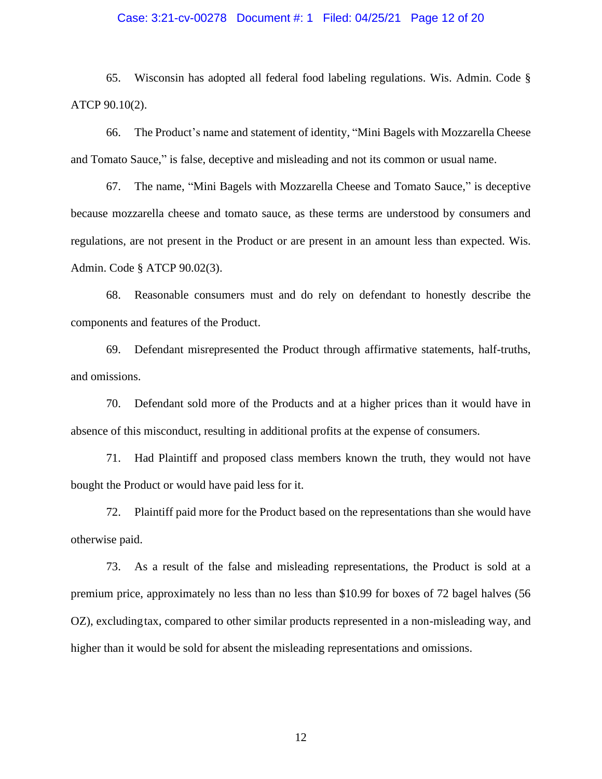## Case: 3:21-cv-00278 Document #: 1 Filed: 04/25/21 Page 12 of 20

65. Wisconsin has adopted all federal food labeling regulations. Wis. Admin. Code § ATCP 90.10(2).

66. The Product's name and statement of identity, "Mini Bagels with Mozzarella Cheese and Tomato Sauce," is false, deceptive and misleading and not its common or usual name.

67. The name, "Mini Bagels with Mozzarella Cheese and Tomato Sauce," is deceptive because mozzarella cheese and tomato sauce, as these terms are understood by consumers and regulations, are not present in the Product or are present in an amount less than expected. Wis. Admin. Code § ATCP 90.02(3).

68. Reasonable consumers must and do rely on defendant to honestly describe the components and features of the Product.

69. Defendant misrepresented the Product through affirmative statements, half-truths, and omissions.

70. Defendant sold more of the Products and at a higher prices than it would have in absence of this misconduct, resulting in additional profits at the expense of consumers.

71. Had Plaintiff and proposed class members known the truth, they would not have bought the Product or would have paid less for it.

72. Plaintiff paid more for the Product based on the representations than she would have otherwise paid.

73. As a result of the false and misleading representations, the Product is sold at a premium price, approximately no less than no less than \$10.99 for boxes of 72 bagel halves (56 OZ), excludingtax, compared to other similar products represented in a non-misleading way, and higher than it would be sold for absent the misleading representations and omissions.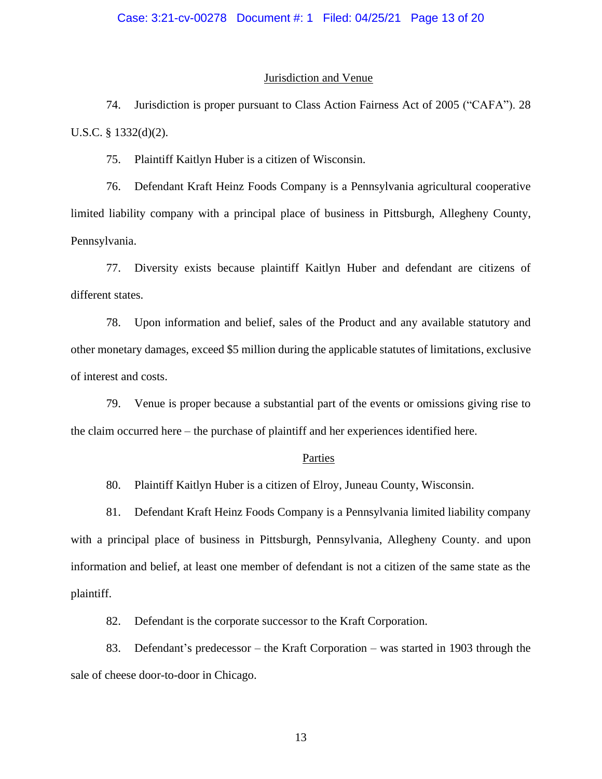#### Jurisdiction and Venue

74. Jurisdiction is proper pursuant to Class Action Fairness Act of 2005 ("CAFA"). 28 U.S.C. § 1332(d)(2).

75. Plaintiff Kaitlyn Huber is a citizen of Wisconsin.

76. Defendant Kraft Heinz Foods Company is a Pennsylvania agricultural cooperative limited liability company with a principal place of business in Pittsburgh, Allegheny County, Pennsylvania.

77. Diversity exists because plaintiff Kaitlyn Huber and defendant are citizens of different states.

78. Upon information and belief, sales of the Product and any available statutory and other monetary damages, exceed \$5 million during the applicable statutes of limitations, exclusive of interest and costs.

79. Venue is proper because a substantial part of the events or omissions giving rise to the claim occurred here – the purchase of plaintiff and her experiences identified here.

### Parties

80. Plaintiff Kaitlyn Huber is a citizen of Elroy, Juneau County, Wisconsin.

81. Defendant Kraft Heinz Foods Company is a Pennsylvania limited liability company with a principal place of business in Pittsburgh, Pennsylvania, Allegheny County. and upon information and belief, at least one member of defendant is not a citizen of the same state as the plaintiff.

82. Defendant is the corporate successor to the Kraft Corporation.

83. Defendant's predecessor – the Kraft Corporation – was started in 1903 through the sale of cheese door-to-door in Chicago.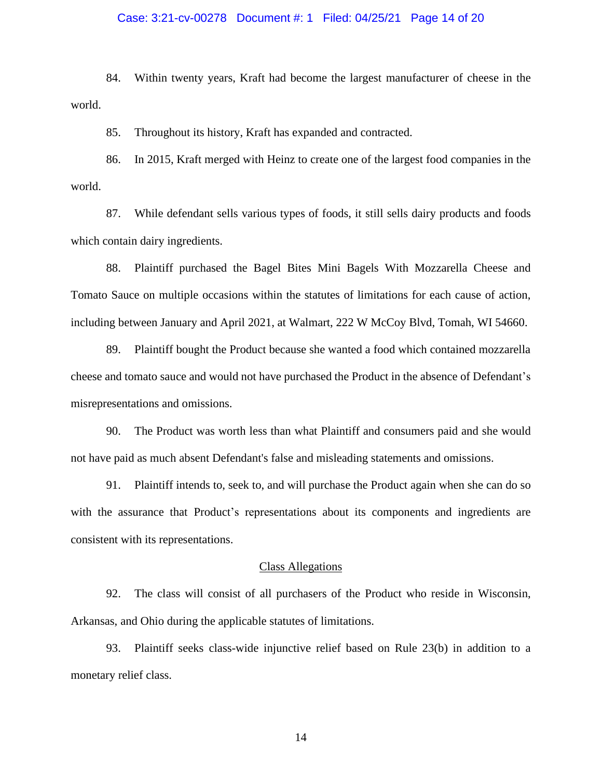## Case: 3:21-cv-00278 Document #: 1 Filed: 04/25/21 Page 14 of 20

84. Within twenty years, Kraft had become the largest manufacturer of cheese in the world.

85. Throughout its history, Kraft has expanded and contracted.

86. In 2015, Kraft merged with Heinz to create one of the largest food companies in the world.

87. While defendant sells various types of foods, it still sells dairy products and foods which contain dairy ingredients.

88. Plaintiff purchased the Bagel Bites Mini Bagels With Mozzarella Cheese and Tomato Sauce on multiple occasions within the statutes of limitations for each cause of action, including between January and April 2021, at Walmart, 222 W McCoy Blvd, Tomah, WI 54660.

89. Plaintiff bought the Product because she wanted a food which contained mozzarella cheese and tomato sauce and would not have purchased the Product in the absence of Defendant's misrepresentations and omissions.

90. The Product was worth less than what Plaintiff and consumers paid and she would not have paid as much absent Defendant's false and misleading statements and omissions.

91. Plaintiff intends to, seek to, and will purchase the Product again when she can do so with the assurance that Product's representations about its components and ingredients are consistent with its representations.

#### Class Allegations

92. The class will consist of all purchasers of the Product who reside in Wisconsin, Arkansas, and Ohio during the applicable statutes of limitations.

93. Plaintiff seeks class-wide injunctive relief based on Rule 23(b) in addition to a monetary relief class.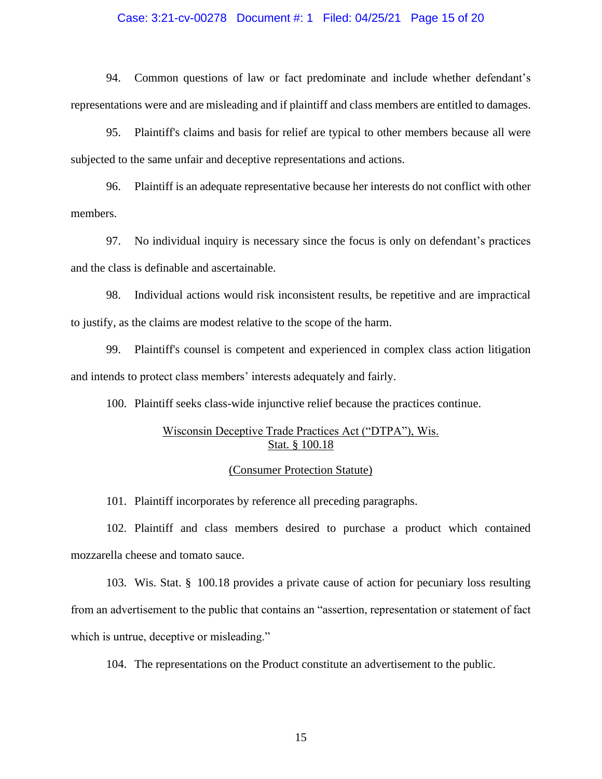## Case: 3:21-cv-00278 Document #: 1 Filed: 04/25/21 Page 15 of 20

94. Common questions of law or fact predominate and include whether defendant's representations were and are misleading and if plaintiff and class members are entitled to damages.

95. Plaintiff's claims and basis for relief are typical to other members because all were subjected to the same unfair and deceptive representations and actions.

96. Plaintiff is an adequate representative because her interests do not conflict with other members.

97. No individual inquiry is necessary since the focus is only on defendant's practices and the class is definable and ascertainable.

98. Individual actions would risk inconsistent results, be repetitive and are impractical to justify, as the claims are modest relative to the scope of the harm.

99. Plaintiff's counsel is competent and experienced in complex class action litigation and intends to protect class members' interests adequately and fairly.

100. Plaintiff seeks class-wide injunctive relief because the practices continue.

# Wisconsin Deceptive Trade Practices Act ("DTPA"), Wis. Stat. § 100.18

## (Consumer Protection Statute)

101. Plaintiff incorporates by reference all preceding paragraphs.

102. Plaintiff and class members desired to purchase a product which contained mozzarella cheese and tomato sauce.

103. Wis. Stat. § 100.18 provides a private cause of action for pecuniary loss resulting from an advertisement to the public that contains an "assertion, representation or statement of fact which is untrue, deceptive or misleading."

104. The representations on the Product constitute an advertisement to the public.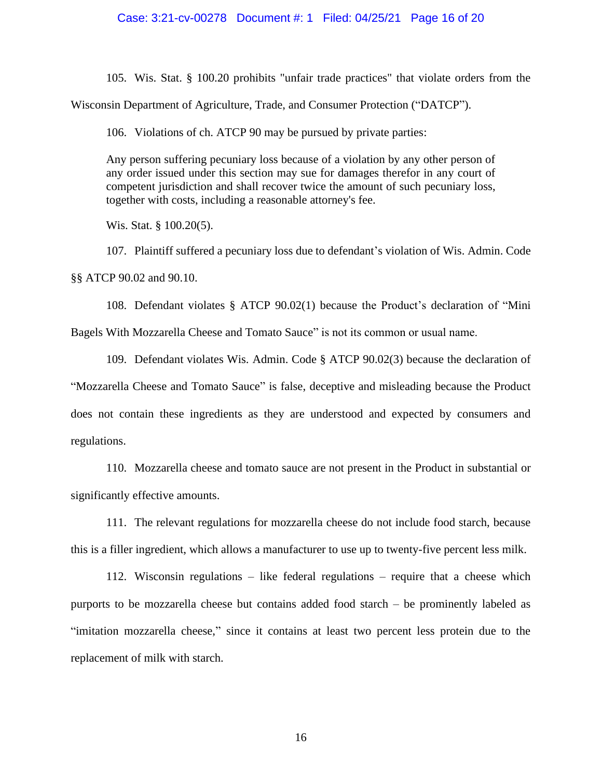## Case: 3:21-cv-00278 Document #: 1 Filed: 04/25/21 Page 16 of 20

105. Wis. Stat. § 100.20 prohibits "unfair trade practices" that violate orders from the Wisconsin Department of Agriculture, Trade, and Consumer Protection ("DATCP").

106. Violations of ch. ATCP 90 may be pursued by private parties:

Any person suffering pecuniary loss because of a violation by any other person of any order issued under this section may sue for damages therefor in any court of competent jurisdiction and shall recover twice the amount of such pecuniary loss, together with costs, including a reasonable attorney's fee.

Wis. Stat. § 100.20(5).

107. Plaintiff suffered a pecuniary loss due to defendant's violation of Wis. Admin. Code §§ ATCP 90.02 and 90.10.

108. Defendant violates § ATCP 90.02(1) because the Product's declaration of "Mini Bagels With Mozzarella Cheese and Tomato Sauce" is not its common or usual name.

109. Defendant violates Wis. Admin. Code § ATCP 90.02(3) because the declaration of "Mozzarella Cheese and Tomato Sauce" is false, deceptive and misleading because the Product does not contain these ingredients as they are understood and expected by consumers and regulations.

110. Mozzarella cheese and tomato sauce are not present in the Product in substantial or significantly effective amounts.

111. The relevant regulations for mozzarella cheese do not include food starch, because this is a filler ingredient, which allows a manufacturer to use up to twenty-five percent less milk.

112. Wisconsin regulations – like federal regulations – require that a cheese which purports to be mozzarella cheese but contains added food starch – be prominently labeled as "imitation mozzarella cheese," since it contains at least two percent less protein due to the replacement of milk with starch.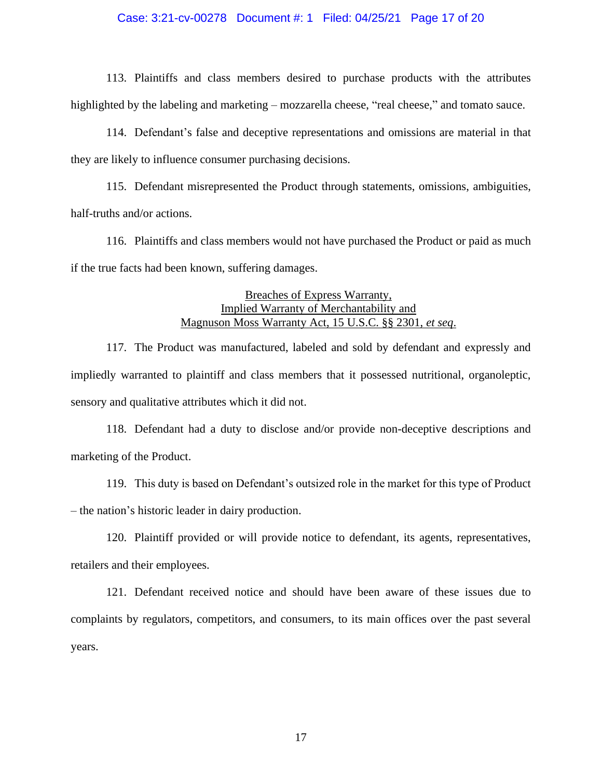## Case: 3:21-cv-00278 Document #: 1 Filed: 04/25/21 Page 17 of 20

113. Plaintiffs and class members desired to purchase products with the attributes highlighted by the labeling and marketing – mozzarella cheese, "real cheese," and tomato sauce.

114. Defendant's false and deceptive representations and omissions are material in that they are likely to influence consumer purchasing decisions.

115. Defendant misrepresented the Product through statements, omissions, ambiguities, half-truths and/or actions.

116. Plaintiffs and class members would not have purchased the Product or paid as much if the true facts had been known, suffering damages.

# Breaches of Express Warranty, Implied Warranty of Merchantability and Magnuson Moss Warranty Act, 15 U.S.C. §§ 2301, *et seq*.

117. The Product was manufactured, labeled and sold by defendant and expressly and impliedly warranted to plaintiff and class members that it possessed nutritional, organoleptic, sensory and qualitative attributes which it did not.

118. Defendant had a duty to disclose and/or provide non-deceptive descriptions and marketing of the Product.

119. This duty is based on Defendant's outsized role in the market for this type of Product – the nation's historic leader in dairy production.

120. Plaintiff provided or will provide notice to defendant, its agents, representatives, retailers and their employees.

121. Defendant received notice and should have been aware of these issues due to complaints by regulators, competitors, and consumers, to its main offices over the past several years.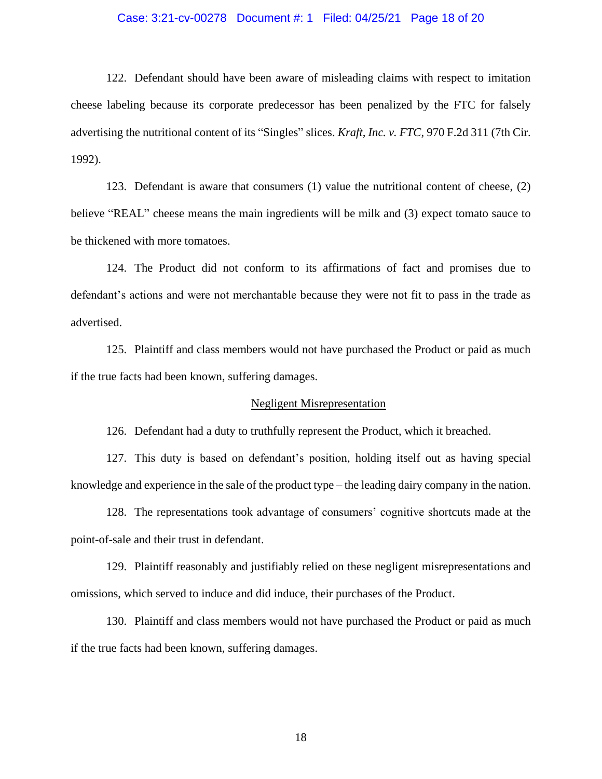## Case: 3:21-cv-00278 Document #: 1 Filed: 04/25/21 Page 18 of 20

122. Defendant should have been aware of misleading claims with respect to imitation cheese labeling because its corporate predecessor has been penalized by the FTC for falsely advertising the nutritional content of its "Singles" slices. *Kraft, Inc. v. FTC*, 970 F.2d 311 (7th Cir. 1992).

123. Defendant is aware that consumers (1) value the nutritional content of cheese, (2) believe "REAL" cheese means the main ingredients will be milk and (3) expect tomato sauce to be thickened with more tomatoes.

124. The Product did not conform to its affirmations of fact and promises due to defendant's actions and were not merchantable because they were not fit to pass in the trade as advertised.

125. Plaintiff and class members would not have purchased the Product or paid as much if the true facts had been known, suffering damages.

## Negligent Misrepresentation

126. Defendant had a duty to truthfully represent the Product, which it breached.

127. This duty is based on defendant's position, holding itself out as having special knowledge and experience in the sale of the product type – the leading dairy company in the nation.

128. The representations took advantage of consumers' cognitive shortcuts made at the point-of-sale and their trust in defendant.

129. Plaintiff reasonably and justifiably relied on these negligent misrepresentations and omissions, which served to induce and did induce, their purchases of the Product.

130. Plaintiff and class members would not have purchased the Product or paid as much if the true facts had been known, suffering damages.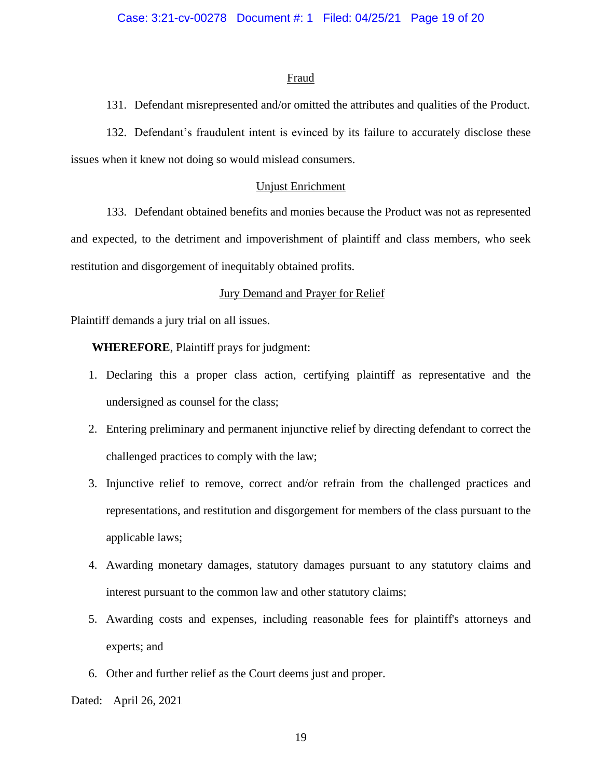## Fraud

131. Defendant misrepresented and/or omitted the attributes and qualities of the Product.

132. Defendant's fraudulent intent is evinced by its failure to accurately disclose these issues when it knew not doing so would mislead consumers.

## Unjust Enrichment

133. Defendant obtained benefits and monies because the Product was not as represented and expected, to the detriment and impoverishment of plaintiff and class members, who seek restitution and disgorgement of inequitably obtained profits.

## Jury Demand and Prayer for Relief

Plaintiff demands a jury trial on all issues.

**WHEREFORE**, Plaintiff prays for judgment:

- 1. Declaring this a proper class action, certifying plaintiff as representative and the undersigned as counsel for the class;
- 2. Entering preliminary and permanent injunctive relief by directing defendant to correct the challenged practices to comply with the law;
- 3. Injunctive relief to remove, correct and/or refrain from the challenged practices and representations, and restitution and disgorgement for members of the class pursuant to the applicable laws;
- 4. Awarding monetary damages, statutory damages pursuant to any statutory claims and interest pursuant to the common law and other statutory claims;
- 5. Awarding costs and expenses, including reasonable fees for plaintiff's attorneys and experts; and
- 6. Other and further relief as the Court deems just and proper.

Dated: April 26, 2021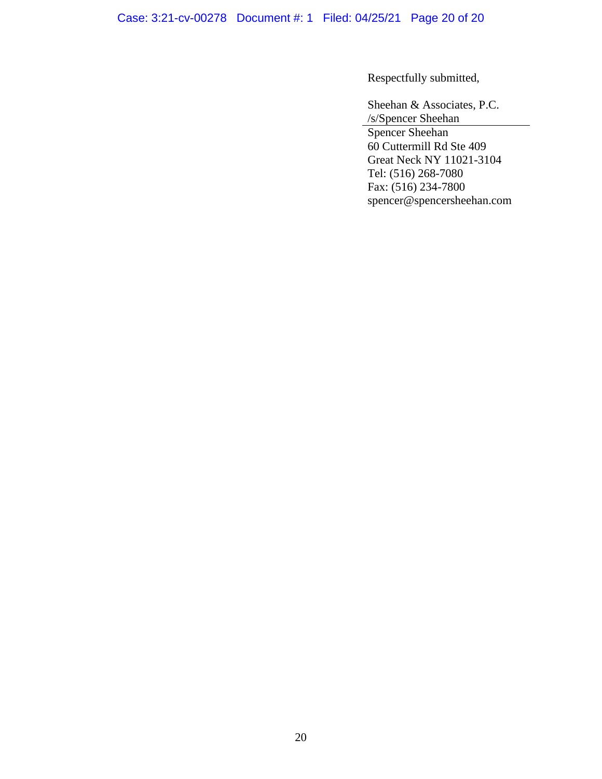Case: 3:21-cv-00278 Document #: 1 Filed: 04/25/21 Page 20 of 20

Respectfully submitted,

Sheehan & Associates, P.C. /s/Spencer Sheehan

Spencer Sheehan 60 Cuttermill Rd Ste 409 Great Neck NY 11021-3104 Tel: (516) 268-7080 Fax: (516) 234-7800 spencer@spencersheehan.com